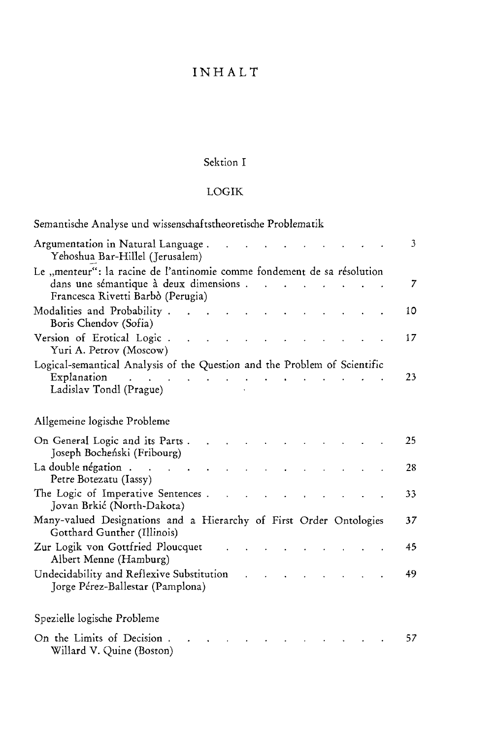# **I N H AL T**

## **Sektion I**

#### **LOGIK**

| Semantische Analyse und wissenschaftstheoretische Problematik                                                                                                              |    |
|----------------------------------------------------------------------------------------------------------------------------------------------------------------------------|----|
| Argumentation in Natural Language.<br>Yehoshua Bar-Hillel (Jerusalem)                                                                                                      | 3  |
| Le "menteur": la racine de l'antinomie comme fondement de sa résolution<br>dans une sémantique à deux dimensions.<br>$\sim$<br>$\sim$<br>Francesca Rivetti Barbò (Perugia) | 7  |
| Modalities and Probability.<br>Boris Chendov (Sofia)                                                                                                                       | 10 |
| Version of Erotical Logic.<br>Yuri A. Petrov (Moscow)                                                                                                                      | 17 |
| Logical-semantical Analysis of the Question and the Problem of Scientific                                                                                                  |    |
| Explanation<br>Ladislav Tondl (Prague)                                                                                                                                     | 23 |
| Allgemeine logische Probleme                                                                                                                                               |    |
| On General Logic and its Parts.<br>Joseph Bocheński (Fribourg)                                                                                                             | 25 |
| La double négation<br>Petre Botezatu (Iassy)                                                                                                                               | 28 |
| The Logic of Imperative Sentences.<br>Jovan Brkić (North-Dakota)                                                                                                           | 33 |
| Many-valued Designations and a Hierarchy of First Order Ontologies<br>Gotthard Gunther (Illinois)                                                                          | 37 |
| Zur Logik von Gottfried Ploucquet<br>Albert Menne (Hamburg)                                                                                                                | 45 |
| Undecidability and Reflexive Substitution<br>Jorge Pérez-Ballestar (Pamplona)                                                                                              | 49 |
| Spezielle logische Probleme                                                                                                                                                |    |
| On the Limits of Decision.<br>Willard V. Quine (Boston)                                                                                                                    | 57 |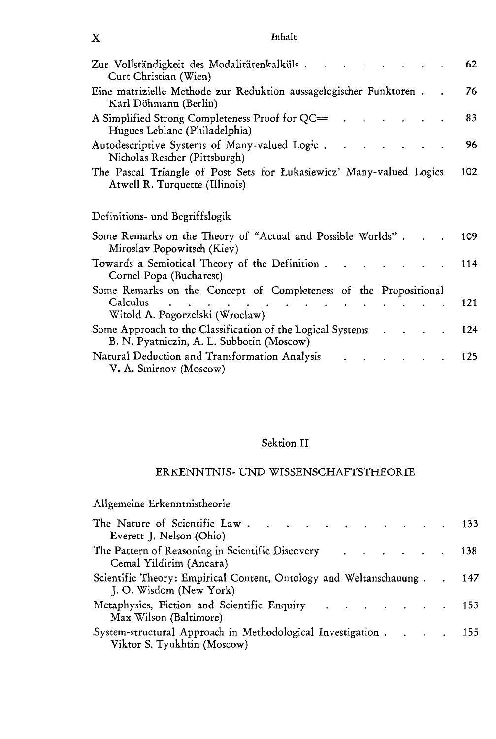| Inhalt<br>$\boldsymbol{\mathrm{X}}$                                                                     |     |
|---------------------------------------------------------------------------------------------------------|-----|
| Zur Vollständigkeit des Modalitätenkalküls.<br>Curt Christian (Wien)                                    | 62  |
| Eine matrizielle Methode zur Reduktion aussagelogischer Funktoren.<br>Karl Döhmann (Berlin)             | 76  |
| A Simplified Strong Completeness Proof for QC=<br>Hugues Leblanc (Philadelphia)                         | 83  |
| Autodescriptive Systems of Many-valued Logic.<br>Nicholas Rescher (Pittsburgh)                          | 96  |
| The Pascal Triangle of Post Sets for Łukasiewicz' Many-valued Logics<br>Atwell R. Turquette (Illinois)  | 102 |
| Definitions- und Begriffslogik                                                                          |     |
| Some Remarks on the Theory of "Actual and Possible Worlds".<br>Miroslav Popowitsch (Kiev)               | 109 |
| Towards a Semiotical Theory of the Definition.<br>Cornel Popa (Bucharest)                               | 114 |
| Some Remarks on the Concept of Completeness of the Propositional                                        |     |
| Calculus<br>Witold A. Pogorzelski (Wroclaw)                                                             | 121 |
| Some Approach to the Classification of the Logical Systems<br>B. N. Pyatniczin, A. L. Subbotin (Moscow) | 124 |
| Natural Deduction and Transformation Analysis<br>V. A. Smirnov (Moscow)                                 | 125 |

## **Sektion II**

#### **ERKENNTNIS - UN D WISSENSCHAFTSTHEORIE**

**Allgemeine Erkenntnistheorie** 

| The Nature of Scientific Law 133<br>Everett J. Nelson (Ohio)                                                 |  |  |
|--------------------------------------------------------------------------------------------------------------|--|--|
| The Pattern of Reasoning in Scientific Discovery 138<br>Cemal Yildirim (Ancara)                              |  |  |
| Scientific Theory: Empirical Content, Ontology and Weltanschauung 147<br>J. O. Wisdom (New York)             |  |  |
| Metaphysics, Fiction and Scientific Enquiry (and the context of the context of 153<br>Max Wilson (Baltimore) |  |  |
| System-structural Approach in Methodological Investigation 155<br>Viktor S. Tyukhtin (Moscow)                |  |  |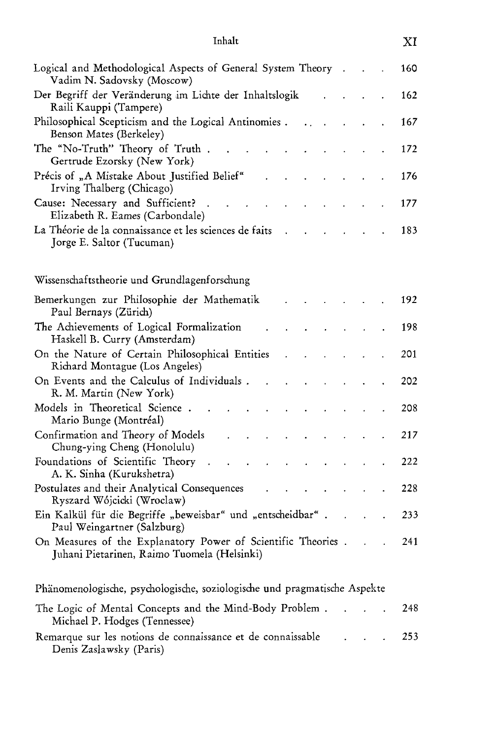| Inhalt                                                                                                      |  |  | XI  |
|-------------------------------------------------------------------------------------------------------------|--|--|-----|
| Logical and Methodological Aspects of General System Theory<br>Vadim N. Sadovsky (Moscow)                   |  |  | 160 |
| Der Begriff der Veränderung im Lichte der Inhaltslogik<br>Raili Kauppi (Tampere)                            |  |  | 162 |
| Philosophical Scepticism and the Logical Antinomies.<br>Benson Mates (Berkeley)                             |  |  | 167 |
| The "No-Truth" Theory of Truth.<br>Gertrude Ezorsky (New York)                                              |  |  | 172 |
| Précis of "A Mistake About Justified Belief"<br>Irving Thalberg (Chicago)                                   |  |  | 176 |
| Cause: Necessary and Sufficient?<br>Elizabeth R. Eames (Carbondale)                                         |  |  | 177 |
| La Théorie de la connaissance et les sciences de faits<br>Jorge E. Saltor (Tucuman)                         |  |  | 183 |
| Wissenschaftstheorie und Grundlagenforschung                                                                |  |  |     |
| Bemerkungen zur Philosophie der Mathematik<br>Paul Bernays (Zürich)                                         |  |  | 192 |
| The Achievements of Logical Formalization<br>Haskell B. Curry (Amsterdam)                                   |  |  | 198 |
| On the Nature of Certain Philosophical Entities<br>Richard Montague (Los Angeles)                           |  |  | 201 |
| On Events and the Calculus of Individuals.<br>R. M. Martin (New York)                                       |  |  | 202 |
| Models in Theoretical Science.<br>Mario Bunge (Montréal)                                                    |  |  | 208 |
| Confirmation and Theory of Models<br>Chung-ying Cheng (Honolulu)                                            |  |  | 217 |
| Foundations of Scientific Theory<br>A. K. Sinha (Kurukshetra)                                               |  |  | 222 |
| Postulates and their Analytical Consequences<br>Ryszard Wójcicki (Wroclaw)                                  |  |  | 228 |
| Ein Kalkül für die Begriffe "beweisbar" und "entscheidbar"<br>Paul Weingartner (Salzburg)                   |  |  | 233 |
| On Measures of the Explanatory Power of Scientific Theories.<br>Juhani Pietarinen, Raimo Tuomela (Helsinki) |  |  | 241 |
| Phänomenologische, psychologische, soziologische und pragmatische Aspekte                                   |  |  |     |
| The Logic of Mental Concepts and the Mind-Body Problem.<br>Michael P. Hodges (Tennessee)                    |  |  | 248 |
| Remarque sur les notions de connaissance et de connaissable<br>Denis Zaslawsky (Paris)                      |  |  | 253 |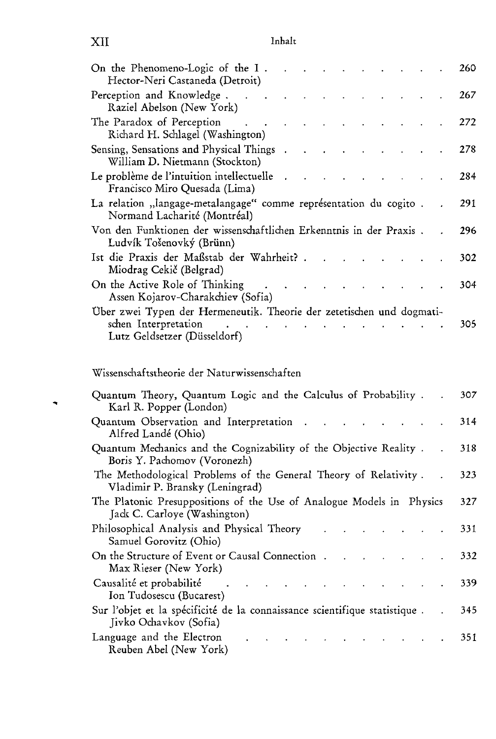| XII | Inhalt |
|-----|--------|
|     |        |

| 267 |
|-----|
| 272 |
| 278 |
| 284 |
| 291 |
| 296 |
| 302 |
| 304 |
| 305 |
|     |
|     |
| 307 |
| 314 |
| 318 |
| 323 |
| 327 |
| 331 |
| 332 |
| 339 |
| 345 |
|     |

٠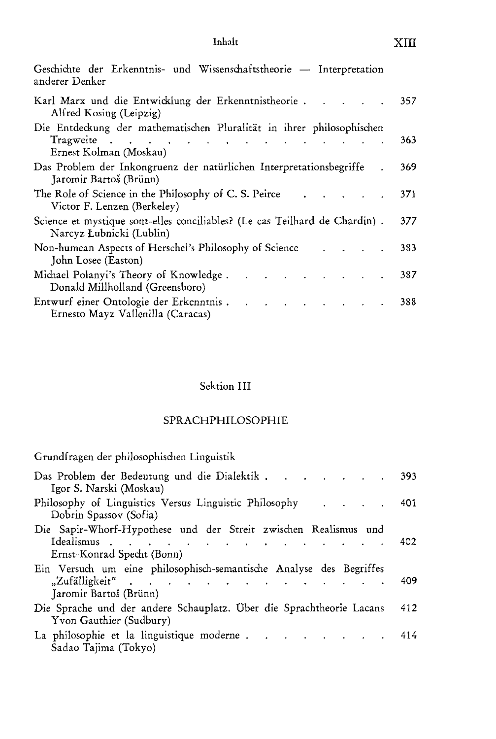| Geschichte der Erkenntnis- und Wissenschaftstheorie - Interpretation<br>anderer Denker                       |     |
|--------------------------------------------------------------------------------------------------------------|-----|
| Karl Marx und die Entwicklung der Erkenntnistheorie.<br>Alfred Kosing (Leipzig)                              | 357 |
| Die Entdeckung der mathematischen Pluralität in ihrer philosophischen<br>Tragweite<br>Ernest Kolman (Moskau) | 363 |
| Das Problem der Inkongruenz der natürlichen Interpretationsbegriffe<br>Jaromir Bartoš (Brünn)                | 369 |
| The Role of Science in the Philosophy of C. S. Peirce<br>Victor F. Lenzen (Berkeley)                         | 371 |
| Science et mystique sont-elles conciliables? (Le cas Teilhard de Chardin).<br>Narcyz Łubnicki (Lublin)       | 377 |
| Non-humean Aspects of Herschel's Philosophy of Science<br>John Losee (Easton)                                | 383 |
| Michael Polanyi's Theory of Knowledge.<br>Donald Millholland (Greensboro)                                    | 387 |
| Entwurf einer Ontologie der Erkenntnis.<br>Ernesto Mayz Vallenilla (Caracas)                                 | 388 |

# **Sektion III**

#### **SPRACHPHILOSOPHIE**

**Grundfragen der philosophischen Linguistik** 

| Igor S. Narski (Moskau)                                                                                                                         | 393 |
|-------------------------------------------------------------------------------------------------------------------------------------------------|-----|
| Philosophy of Linguistics Versus Linguistic Philosophy<br>Dobrin Spassov (Sofia)                                                                | 401 |
| Die Sapir-Whorf-Hypothese und der Streit zwischen Realismus und<br>Idealismus<br>Ernst-Konrad Specht (Bonn)                                     | 402 |
| Ein Versuch um eine philosophisch-semantische Analyse des Begriffes<br>"Zufälligkeit"<br>and the contract of the con-<br>Jaromir Bartoš (Brünn) | 409 |
| Die Sprache und der andere Schauplatz. Über die Sprachtheorie Lacans<br>Yvon Gauthier (Sudbury)                                                 | 412 |
| Sadao Tajima (Tokyo)                                                                                                                            | 414 |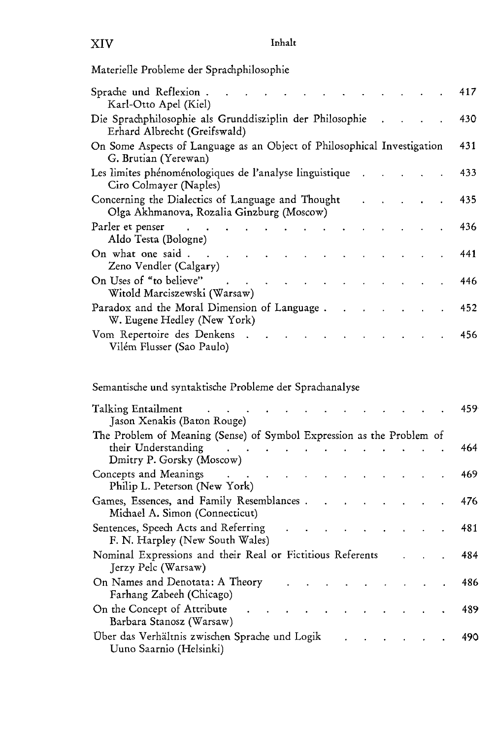**Materielle Probleme der Sprachphilosophie** 

| Sprache und Reflexion.<br>Karl-Otto Apel (Kiel)                                                 |  |  | 417 |
|-------------------------------------------------------------------------------------------------|--|--|-----|
| Die Sprachphilosophie als Grunddisziplin der Philosophie<br>Erhard Albrecht (Greifswald)        |  |  | 430 |
| On Some Aspects of Language as an Object of Philosophical Investigation<br>G. Brutian (Yerewan) |  |  | 431 |
| Les limites phénoménologiques de l'analyse linguistique<br>Ciro Colmayer (Naples)               |  |  | 433 |
| Concerning the Dialectics of Language and Thought<br>Olga Akhmanova, Rozalia Ginzburg (Moscow)  |  |  | 435 |
| Parler et penser<br>Aldo Testa (Bologne)                                                        |  |  | 436 |
| On what one said $\ldots$ .<br>Zeno Vendler (Calgary)                                           |  |  | 441 |
| On Uses of "to believe"<br>Witold Marciszewski (Warsaw)                                         |  |  | 446 |
| Paradox and the Moral Dimension of Language.<br>W. Eugene Hedley (New York)                     |  |  | 452 |
| Vom Repertoire des Denkens<br>Vilém Flusser (Sao Paulo)                                         |  |  | 456 |

## Semantische und syntaktische Probleme der Sprachanalyse

| Talking Entailment                                                                 |  |  |  |  | 459 |
|------------------------------------------------------------------------------------|--|--|--|--|-----|
| Jason Xenakis (Baton Rouge)                                                        |  |  |  |  |     |
| The Problem of Meaning (Sense) of Symbol Expression as the Problem of              |  |  |  |  |     |
| their Understanding<br>Dmitry P. Gorsky (Moscow)                                   |  |  |  |  | 464 |
| Concepts and Meanings<br><b>Contract Contract</b><br>Philip L. Peterson (New York) |  |  |  |  | 469 |
| Games, Essences, and Family Resemblances.<br>Michael A. Simon (Connecticut)        |  |  |  |  | 476 |
| Sentences, Speech Acts and Referring<br>F. N. Harpley (New South Wales)            |  |  |  |  | 481 |
| Nominal Expressions and their Real or Fictitious Referents<br>Jerzy Pelc (Warsaw)  |  |  |  |  | 484 |
| On Names and Denotata: A Theory<br>Farhang Zabeeh (Chicago)                        |  |  |  |  | 486 |
| On the Concept of Attribute<br>Barbara Stanosz (Warsaw)                            |  |  |  |  | 489 |
| Über das Verhältnis zwischen Sprache und Logik<br>Uuno Saarnio (Helsinki)          |  |  |  |  | 490 |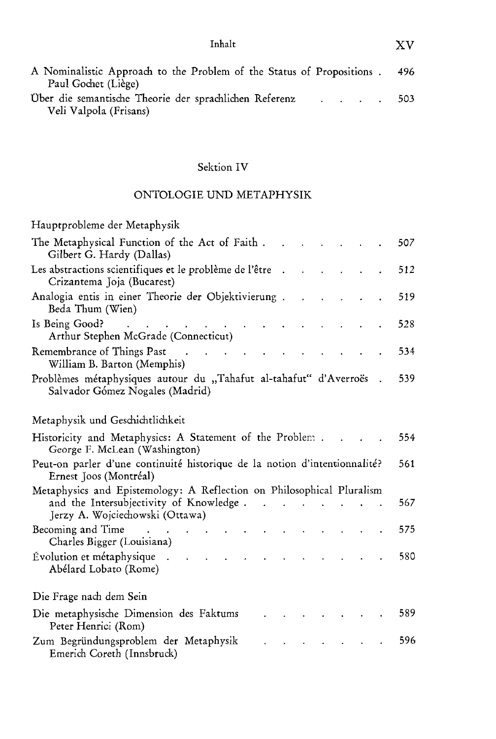| Inhalt                                                                                             | $\mathbf{X}\mathbf{V}$ |
|----------------------------------------------------------------------------------------------------|------------------------|
| A Nominalistic Approach to the Problem of the Status of Propositions.<br>Paul Gochet (Liège)       | 496                    |
| Über die semantische Theorie der sprachlichen Referenzer aus aus aus aus<br>Veli Valpola (Frisans) | 503                    |

## **Sektion IV**

## **ONTOLOGIE UND METAPHYSIK**

| Hauptprobleme der Metaphysik                                                                                                                        |     |
|-----------------------------------------------------------------------------------------------------------------------------------------------------|-----|
| The Metaphysical Function of the Act of Faith.<br>Gilbert G. Hardy (Dallas)                                                                         | 507 |
| Les abstractions scientifiques et le problème de l'être<br>Crizantema Joja (Bucarest)                                                               | 512 |
| Analogia entis in einer Theorie der Objektivierung.<br>Beda Thum (Wien)                                                                             | 519 |
| Is Being Good?<br>Arthur Stephen McGrade (Connecticut)                                                                                              | 528 |
| Remembrance of Things Past<br>William B. Barton (Memphis)                                                                                           | 534 |
| Problèmes métaphysiques autour du "Tahafut al-tahafut" d'Averroës<br>Salvador Gómez Nogales (Madrid)                                                | 539 |
| Metaphysik und Geschichtlichkeit                                                                                                                    |     |
| Historicity and Metaphysics: A Statement of the Problem.<br>George F. McLean (Washington)                                                           | 554 |
| Peut-on parler d'une continuité historique de la notion d'intentionnalité?<br>Ernest Joos (Montréal)                                                | 561 |
| Metaphysics and Epistemology: A Reflection on Philosophical Pluralism<br>and the Intersubjectivity of Knowledge.<br>Jerzy A. Wojciechowski (Ottawa) | 567 |
| Becoming and Time<br>Charles Bigger (Louisiana)                                                                                                     | 575 |
| Évolution et métaphysique<br>Abélard Lobato (Rome)                                                                                                  | 580 |
| Die Frage nach dem Sein                                                                                                                             |     |
| Die metaphysische Dimension des Faktums<br>Peter Henrici (Rom)                                                                                      | 589 |
| Zum Begründungsproblem der Metaphysik<br>Emerich Coreth (Innsbruck)                                                                                 | 596 |